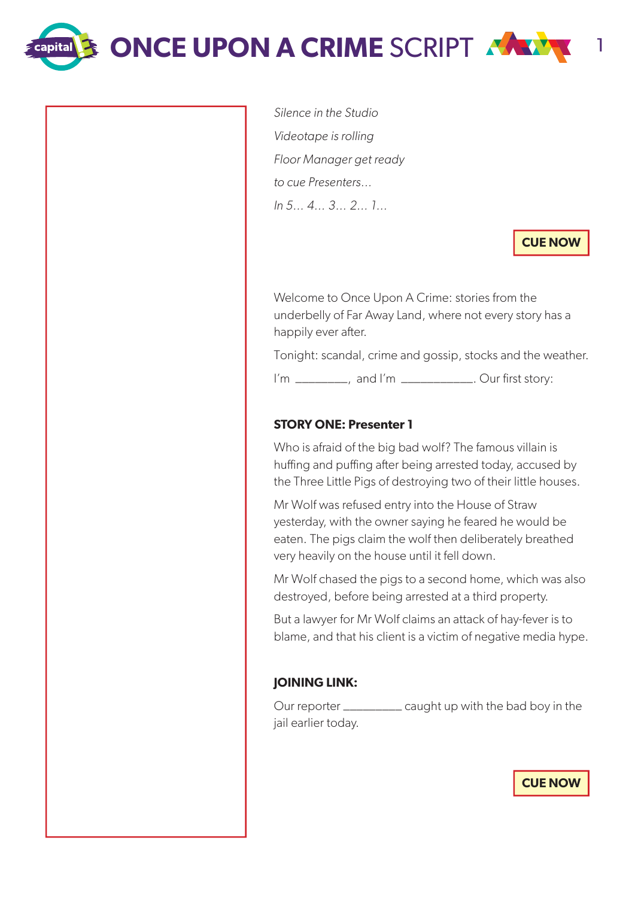**ONCE UPON A CRIME SCRIPT 1998** 

**Capital** 

Silence in the Studio Videotape is rolling Floor Manager get ready to cue Presenters… In 5… 4… 3… 2… 1…

**CUE NOW**

Welcome to Once Upon A Crime: stories from the underbelly of Far Away Land, where not every story has a happily ever after.

Tonight: scandal, crime and gossip, stocks and the weather.

I'm \_\_\_\_\_\_\_\_, and I'm \_\_\_\_\_\_\_\_\_\_\_. Our first story:

# **STORY ONE: Presenter 1**

Who is afraid of the big bad wolf? The famous villain is huffing and puffing after being arrested today, accused by the Three Little Pigs of destroying two of their little houses.

Mr Wolf was refused entry into the House of Straw yesterday, with the owner saying he feared he would be eaten. The pigs claim the wolf then deliberately breathed very heavily on the house until it fell down.

Mr Wolf chased the pigs to a second home, which was also destroyed, before being arrested at a third property.

But a lawyer for Mr Wolf claims an attack of hay-fever is to blame, and that his client is a victim of negative media hype.

### **JOINING LINK:**

Our reporter \_\_\_\_\_\_\_\_\_ caught up with the bad boy in the jail earlier today.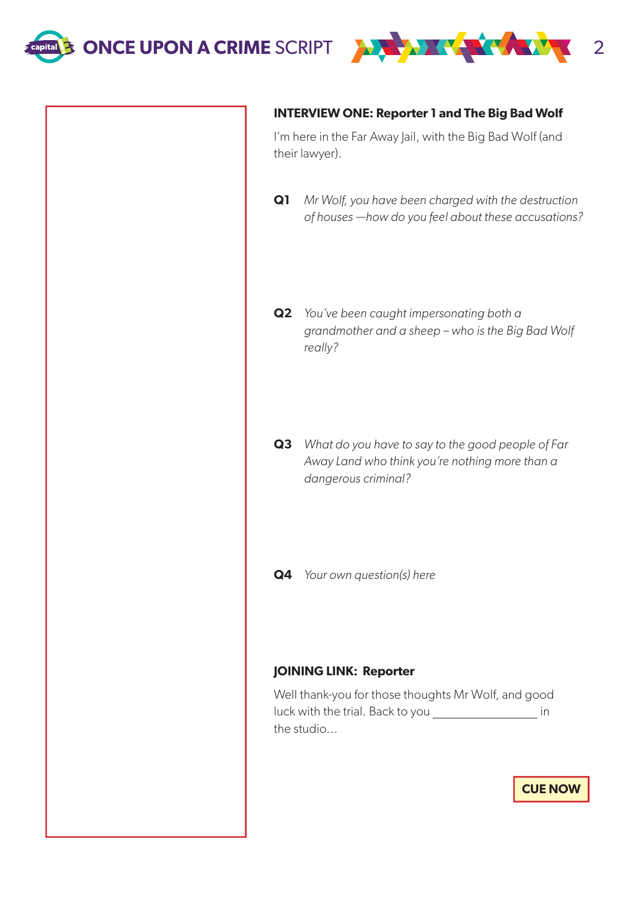



# **INTERVIEW ONE: Reporter 1 and The Big Bad Wolf**

I'm here in the Far Away Jail, with the Big Bad Wolf (and their lawyer).

- **Q1** Mr Wolf, you have been charged with the destruction of houses —how do you feel about these accusations?
- **Q2** You've been caught impersonating both a grandmother and a sheep – who is the Big Bad Wolf really?
- **Q3** What do you have to say to the good people of Far Away Land who think you're nothing more than a dangerous criminal?
- **Q4** Your own question(s) here

# **JOINING LINK: Reporter**

Well thank-you for those thoughts Mr Wolf, and good luck with the trial. Back to you \_\_\_\_\_\_\_\_\_\_\_\_\_\_\_\_\_\_\_\_\_\_\_ in the studio...

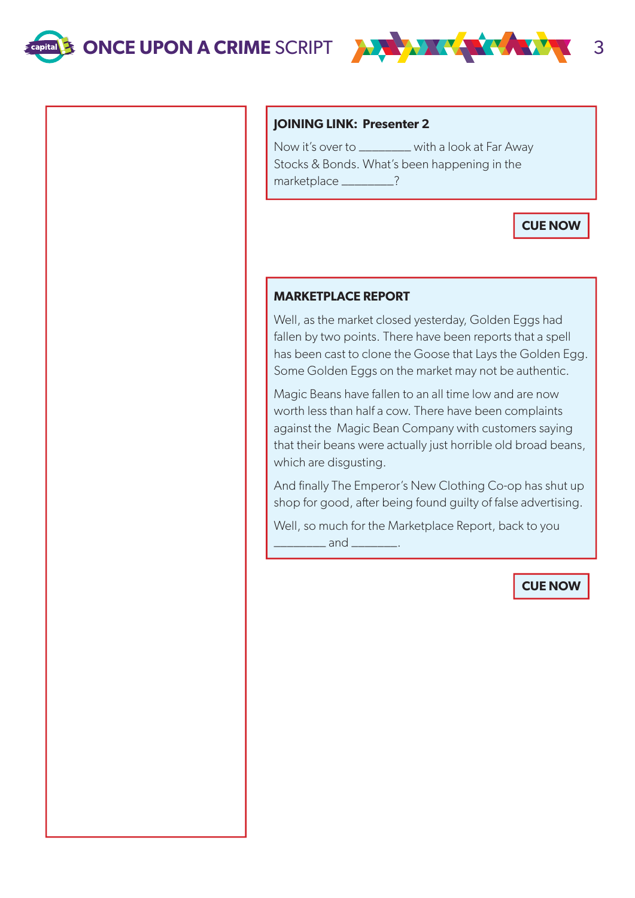

#### **JOINING LINK: Presenter 2**

Now it's over to \_\_\_\_\_\_\_\_ with a look at Far Away Stocks & Bonds. What's been happening in the marketplace \_\_\_\_\_\_\_\_?

# **CUE NOW**

#### **MARKETPLACE REPORT**

Well, as the market closed yesterday, Golden Eggs had fallen by two points. There have been reports that a spell has been cast to clone the Goose that Lays the Golden Egg. Some Golden Eggs on the market may not be authentic.

Magic Beans have fallen to an all time low and are now worth less than half a cow. There have been complaints against the Magic Bean Company with customers saying that their beans were actually just horrible old broad beans, which are disgusting.

And finally The Emperor's New Clothing Co-op has shut up shop for good, after being found guilty of false advertising.

Well, so much for the Marketplace Report, back to you  $\_$  and  $\_$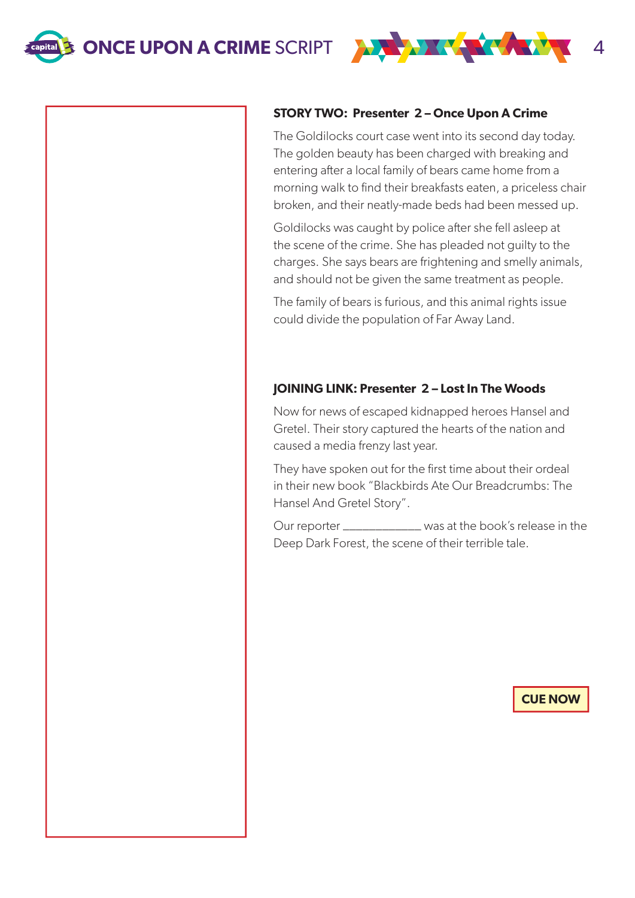

#### **STORY TWO: Presenter 2 – Once Upon A Crime**

The Goldilocks court case went into its second day today. The golden beauty has been charged with breaking and entering after a local family of bears came home from a morning walk to find their breakfasts eaten, a priceless chair broken, and their neatly-made beds had been messed up.

Goldilocks was caught by police after she fell asleep at the scene of the crime. She has pleaded not guilty to the charges. She says bears are frightening and smelly animals, and should not be given the same treatment as people.

The family of bears is furious, and this animal rights issue could divide the population of Far Away Land.

### **JOINING LINK: Presenter 2 – Lost In The Woods**

Now for news of escaped kidnapped heroes Hansel and Gretel. Their story captured the hearts of the nation and caused a media frenzy last year.

They have spoken out for the first time about their ordeal in their new book "Blackbirds Ate Our Breadcrumbs: The Hansel And Gretel Story".

Our reporter \_\_\_\_\_\_\_\_\_\_\_\_ was at the book's release in the Deep Dark Forest, the scene of their terrible tale.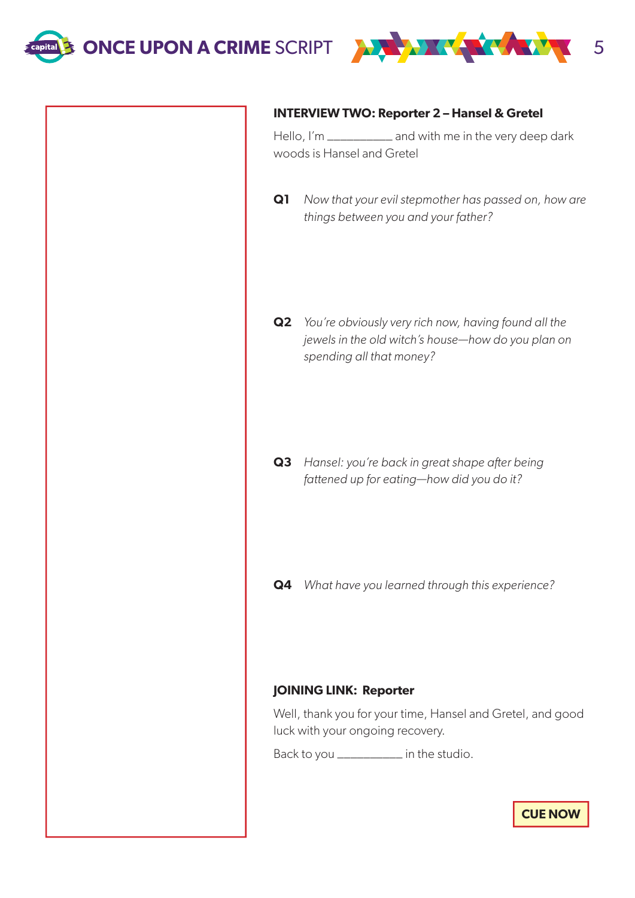



#### **INTERVIEW TWO: Reporter 2 – Hansel & Gretel**

Hello, I'm \_\_\_\_\_\_\_\_\_\_ and with me in the very deep dark woods is Hansel and Gretel

**Q1** Now that your evil stepmother has passed on, how are things between you and your father?

**Q2** You're obviously very rich now, having found all the jewels in the old witch's house—how do you plan on spending all that money?

**Q3** Hansel: you're back in great shape after being fattened up for eating—how did you do it?

**Q4** What have you learned through this experience?

#### **JOINING LINK: Reporter**

Well, thank you for your time, Hansel and Gretel, and good luck with your ongoing recovery.

Back to you \_\_\_\_\_\_\_\_\_\_ in the studio.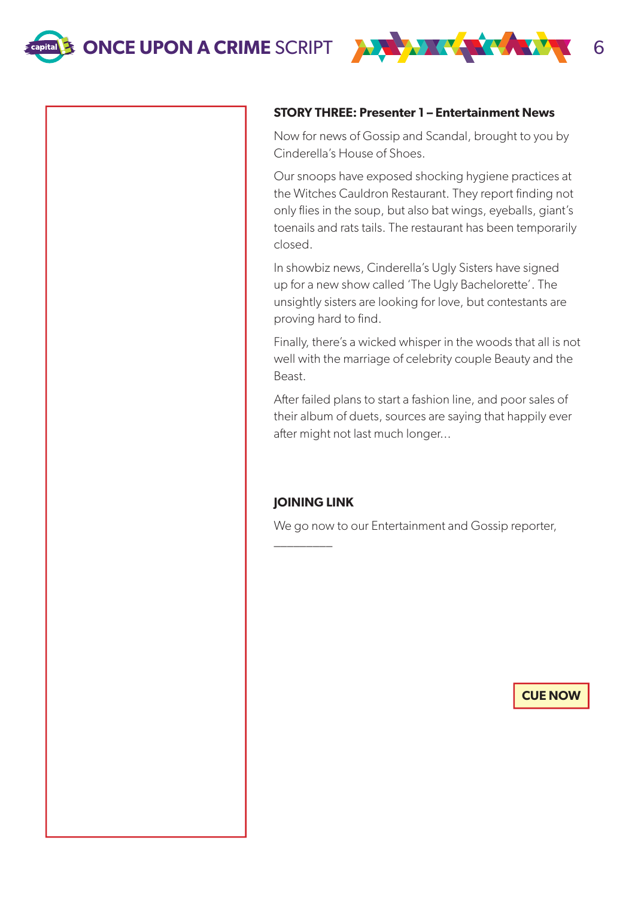

#### **STORY THREE: Presenter 1 – Entertainment News**

Now for news of Gossip and Scandal, brought to you by Cinderella's House of Shoes.

Our snoops have exposed shocking hygiene practices at the Witches Cauldron Restaurant. They report finding not only flies in the soup, but also bat wings, eyeballs, giant's toenails and rats tails. The restaurant has been temporarily closed.

In showbiz news, Cinderella's Ugly Sisters have signed up for a new show called 'The Ugly Bachelorette'. The unsightly sisters are looking for love, but contestants are proving hard to find.

Finally, there's a wicked whisper in the woods that all is not well with the marriage of celebrity couple Beauty and the Beast.

After failed plans to start a fashion line, and poor sales of their album of duets, sources are saying that happily ever after might not last much longer...

### **JOINING LINK**

\_\_\_\_\_\_\_\_\_

We go now to our Entertainment and Gossip reporter,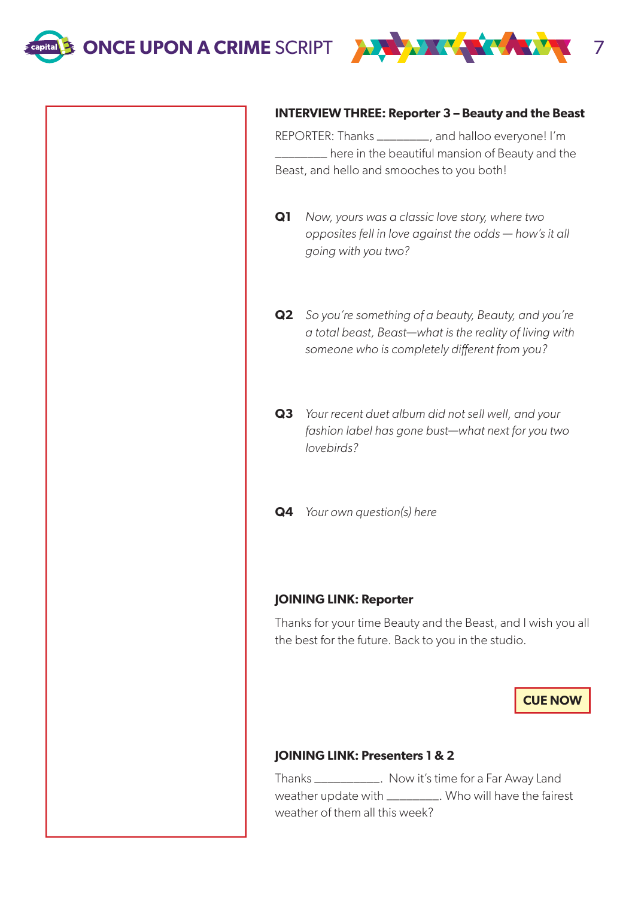

#### **INTERVIEW THREE: Reporter 3 – Beauty and the Beast**

REPORTER: Thanks \_\_\_\_\_\_\_\_, and halloo everyone! I'm \_\_\_\_\_\_\_\_ here in the beautiful mansion of Beauty and the Beast, and hello and smooches to you both!

- **Q1** Now, yours was a classic love story, where two opposites fell in love against the odds — how's it all going with you two?
- **Q2** So you're something of a beauty, Beauty, and you're a total beast, Beast—what is the reality of living with someone who is completely different from you?
- **Q3** Your recent duet album did not sell well, and your fashion label has gone bust—what next for you two lovebirds?
- **Q4** Your own question(s) here

#### **JOINING LINK: Reporter**

Thanks for your time Beauty and the Beast, and I wish you all the best for the future. Back to you in the studio.

**CUE NOW**

#### **JOINING LINK: Presenters 1 & 2**

Thanks \_\_\_\_\_\_\_\_\_\_. Now it's time for a Far Away Land weather update with \_\_\_\_\_\_\_\_\_. Who will have the fairest weather of them all this week?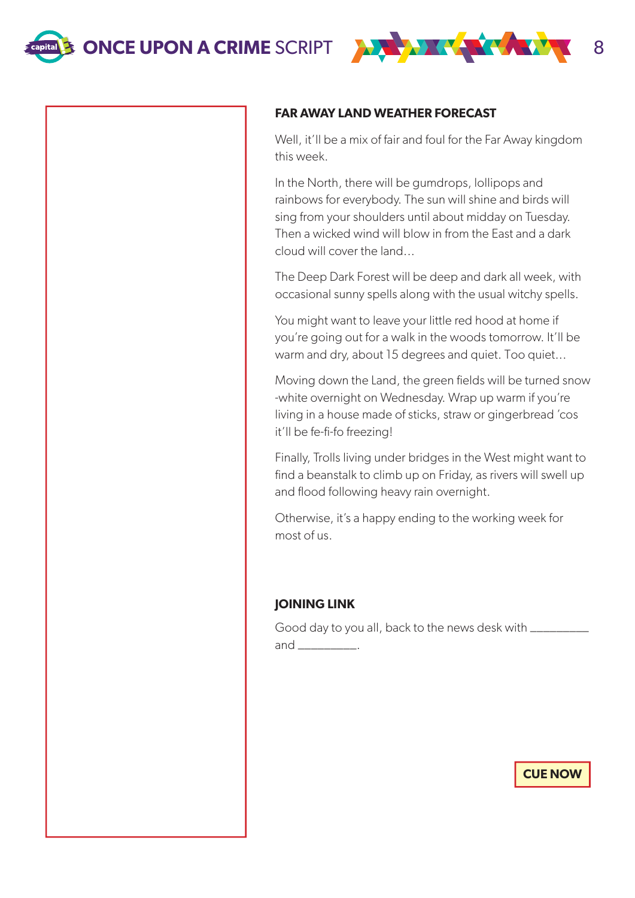

### **FAR AWAY LAND WEATHER FORECAST**

Well, it'll be a mix of fair and foul for the Far Away kingdom this week.

In the North, there will be gumdrops, lollipops and rainbows for everybody. The sun will shine and birds will sing from your shoulders until about midday on Tuesday. Then a wicked wind will blow in from the East and a dark cloud will cover the land...

The Deep Dark Forest will be deep and dark all week, with occasional sunny spells along with the usual witchy spells.

You might want to leave your little red hood at home if you're going out for a walk in the woods tomorrow. It'll be warm and dry, about 15 degrees and quiet. Too quiet...

Moving down the Land, the green fields will be turned snow -white overnight on Wednesday. Wrap up warm if you're living in a house made of sticks, straw or gingerbread 'cos it'll be fe-fi-fo freezing!

Finally, Trolls living under bridges in the West might want to find a beanstalk to climb up on Friday, as rivers will swell up and flood following heavy rain overnight.

Otherwise, it's a happy ending to the working week for most of us.

### **JOINING LINK**

Good day to you all, back to the news desk with \_\_\_\_\_\_\_\_\_\_ and \_\_\_\_\_\_\_\_\_\_\_\_.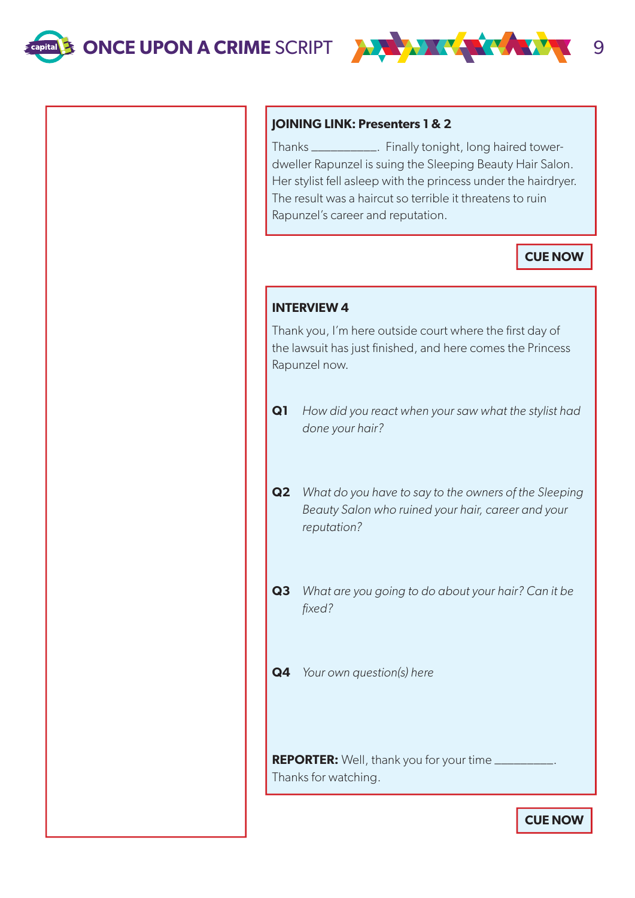

### **JOINING LINK: Presenters 1 & 2**

Thanks \_\_\_\_\_\_\_\_\_\_. Finally tonight, long haired towerdweller Rapunzel is suing the Sleeping Beauty Hair Salon. Her stylist fell asleep with the princess under the hairdryer. The result was a haircut so terrible it threatens to ruin Rapunzel's career and reputation.

# **CUE NOW**

#### **INTERVIEW 4**

Thank you, I'm here outside court where the first day of the lawsuit has just finished, and here comes the Princess Rapunzel now.

- **Q1** How did you react when your saw what the stylist had done your hair?
- **Q2** What do you have to say to the owners of the Sleeping Beauty Salon who ruined your hair, career and your reputation?
- **Q3** What are you going to do about your hair? Can it be fixed?
- **Q4** Your own question(s) here

**REPORTER:** Well, thank you for your time \_\_\_\_\_\_\_\_\_ Thanks for watching.